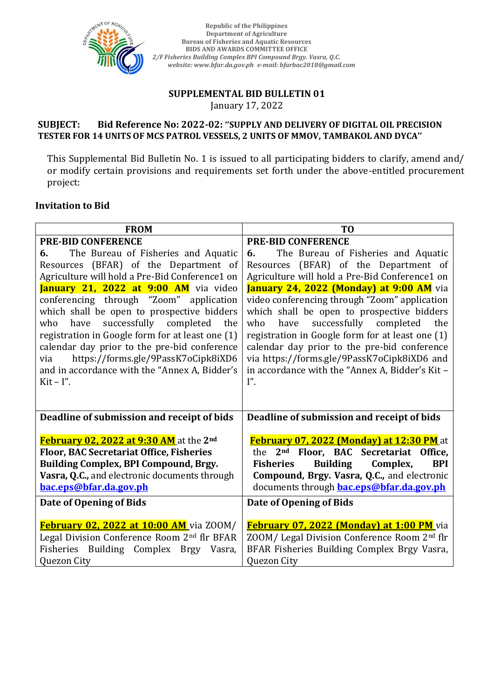

**Republic of the Philippines Department of Agriculture Bureau of Fisheries and Aquatic Resources BIDS AND AWARDS COMMITTEE OFFICE** *2/F Fisheries Building Complex BPI Compound Brgy. Vasra, Q.C. website: www.bfar.da.gov.ph e-mail: bfarbac2018@gmail.com* 

# SUPPLEMENTAL BID BULLETIN 01 January 17, 2022 *Tel. No.: +02. 332. 4661 website: www.bfar.da.gov.ph e-mail: bfarbac2013sec@gmail.com*

### **SUBJECT: Bid Reference No: 2022-02: ''SUPPLY AND DELIVERY OF DIGITAL OIL PRECISION**  *3/F PCA Bldg., Elliptical Road, Diliman, Quezon City, Philippines 1101* **TESTER FOR 14 UNITS OF MCS PATROL VESSELS, 2 UNITS OF MMOV, TAMBAKOL AND DYCA''** *Tel. No.: +02. 332. 4661 website: www.bfar.da.gov.ph e-mail: bfarbac2013sec@gmail.com*

This Supplemental Bid Bulletin No. 1 is issued to all participating bidders to clarify, amend and/ or modify certain provisions and requirements set forth under the above-entitled procurement project:

# **Invitation to Bid**

| <b>FROM</b>                                             | T <sub>0</sub>                                                |
|---------------------------------------------------------|---------------------------------------------------------------|
| <b>PRE-BID CONFERENCE</b>                               | <b>PRE-BID CONFERENCE</b>                                     |
| The Bureau of Fisheries and Aquatic<br>6.               | The Bureau of Fisheries and Aquatic<br>6.                     |
| Resources (BFAR) of the Department of                   | Resources (BFAR) of the Department of                         |
| Agriculture will hold a Pre-Bid Conference1 on          | Agriculture will hold a Pre-Bid Conference1 on                |
| January 21, 2022 at 9:00 AM via video                   | January 24, 2022 (Monday) at 9:00 AM via                      |
| conferencing through "Zoom" application                 | video conferencing through "Zoom" application                 |
| which shall be open to prospective bidders              | which shall be open to prospective bidders                    |
| successfully completed the<br>have<br>who               | have successfully completed the<br>who                        |
| registration in Google form for at least one (1)        | registration in Google form for at least one (1)              |
| calendar day prior to the pre-bid conference            | calendar day prior to the pre-bid conference                  |
| https://forms.gle/9PassK7oCipk8iXD6<br>via              | via https://forms.gle/9PassK7oCipk8iXD6 and                   |
| and in accordance with the "Annex A, Bidder's           | in accordance with the "Annex A, Bidder's Kit -               |
| $Kit - I''$ .                                           | $I''$ .                                                       |
|                                                         |                                                               |
| Deadline of submission and receipt of bids              | Deadline of submission and receipt of bids                    |
| February 02, 2022 at 9:30 AM at the 2 <sup>nd</sup>     | February 07, 2022 (Monday) at 12:30 PM at                     |
| <b>Floor, BAC Secretariat Office, Fisheries</b>         | the 2 <sup>nd</sup> Floor, BAC Secretariat Office,            |
| Building Complex, BPI Compound, Brgy.                   | <b>Building</b><br><b>Fisheries</b><br>Complex,<br><b>BPI</b> |
| Vasra, Q.C., and electronic documents through           | Compound, Brgy. Vasra, Q.C., and electronic                   |
| bac.eps@bfar.da.gov.ph                                  | documents through <b>bac.eps@bfar.da.gov.ph</b>               |
| Date of Opening of Bids                                 | Date of Opening of Bids                                       |
|                                                         |                                                               |
| February 02, 2022 at 10:00 AM via ZOOM/                 | February 07, 2022 (Monday) at 1:00 PM via                     |
| Legal Division Conference Room 2 <sup>nd</sup> flr BFAR | ZOOM/ Legal Division Conference Room 2nd flr                  |
| Fisheries Building Complex Brgy Vasra,                  | BFAR Fisheries Building Complex Brgy Vasra,                   |
| Quezon City                                             | Quezon City                                                   |